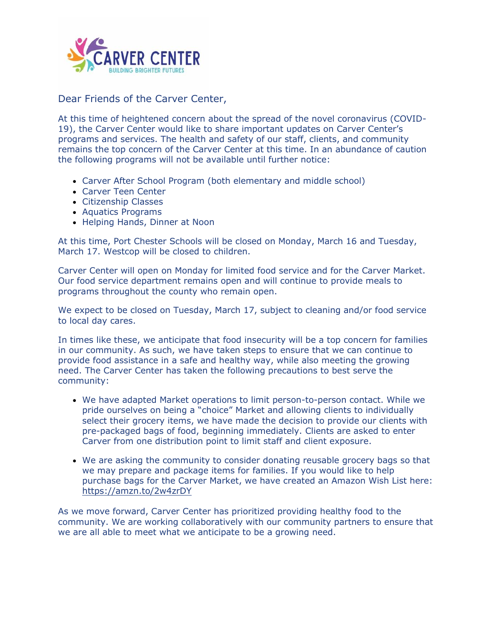

## Dear Friends of the Carver Center,

At this time of heightened concern about the spread of the novel coronavirus (COVID-19), the Carver Center would like to share important updates on Carver Center's programs and services. The health and safety of our staff, clients, and community remains the top concern of the Carver Center at this time. In an abundance of caution the following programs will not be available until further notice:

- Carver After School Program (both elementary and middle school)
- Carver Teen Center
- Citizenship Classes
- Aquatics Programs
- Helping Hands, Dinner at Noon

At this time, Port Chester Schools will be closed on Monday, March 16 and Tuesday, March 17. Westcop will be closed to children.

Carver Center will open on Monday for limited food service and for the Carver Market. Our food service department remains open and will continue to provide meals to programs throughout the county who remain open.

We expect to be closed on Tuesday, March 17, subject to cleaning and/or food service to local day cares.

In times like these, we anticipate that food insecurity will be a top concern for families in our community. As such, we have taken steps to ensure that we can continue to provide food assistance in a safe and healthy way, while also meeting the growing need. The Carver Center has taken the following precautions to best serve the community:

- We have adapted Market operations to limit person-to-person contact. While we pride ourselves on being a "choice" Market and allowing clients to individually select their grocery items, we have made the decision to provide our clients with pre-packaged bags of food, beginning immediately. Clients are asked to enter Carver from one distribution point to limit staff and client exposure.
- We are asking the community to consider donating reusable grocery bags so that we may prepare and package items for families. If you would like to help purchase bags for the Carver Market, we have created an Amazon Wish List here: [https://amzn.to/2w4zrDY](http://r20.rs6.net/tn.jsp?f=001R3oBi3rmoQ_pCaT6alhfCci_4kiCMskhz13lW1fXPfXnwFVK0EqWK33XzqJMBOBQzrC3oFOBDvpB4CHxtO7kYt-SK08cus8tO2hljox_36TuSiiSIgrnefJpmNyDaQD6gHb5TqjpbQFR7mtd1k0shA==&c=3cPhwYlsXoIOh02rx1R-mbiSak1_ialg-GlQPvfcbYfFv-OmONT-fQ==&ch=5D1gVsR0YGTDP7AU6Bw75t6l2lLGvj8R5tvCE48OuNbswvWBn9alQw==)

As we move forward, Carver Center has prioritized providing healthy food to the community. We are working collaboratively with our community partners to ensure that we are all able to meet what we anticipate to be a growing need.